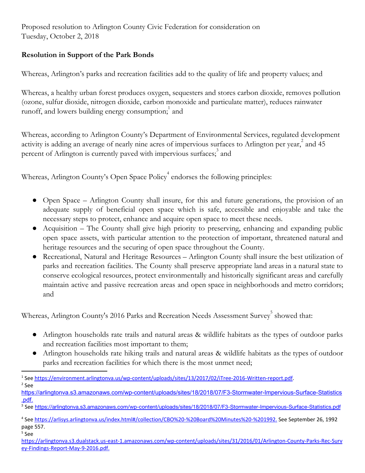Proposed resolution to Arlington County Civic Federation for consideration on Tuesday, October 2, 2018

## **Resolution in Support of the Park Bonds**

Whereas, Arlington's parks and recreation facilities add to the quality of life and property values; and

Whereas, a healthy urban forest produces oxygen, sequesters and stores carbon dioxide, removes pollution (ozone, sulfur dioxide, nitrogen dioxide, carbon monoxide and particulate matter), reduces rainwater runoff, and lowers building energy consumption; and

Whereas, according to Arlington County's Department of Environmental Services, regulated development activity is adding an average of nearly nine acres of impervious surfaces to Arlington per year,  $^{2}$  and 45 percent of Arlington is currently paved with impervious surfaces;<sup>3</sup> and

Whereas, Arlington County's Open Space Policy<sup>4</sup> endorses the following principles:

- Open Space Arlington County shall insure, for this and future generations, the provision of an adequate supply of beneficial open space which is safe, accessible and enjoyable and take the necessary steps to protect, enhance and acquire open space to meet these needs.
- Acquisition The County shall give high priority to preserving, enhancing and expanding public open space assets, with particular attention to the protection of important, threatened natural and heritage resources and the securing of open space throughout the County.
- Recreational, Natural and Heritage Resources Arlington County shall insure the best utilization of parks and recreation facilities. The County shall preserve appropriate land areas in a natural state to conserve ecological resources, protect environmentally and historically significant areas and carefully maintain active and passive recreation areas and open space in neighborhoods and metro corridors; and

Whereas, Arlington County's 2016 Parks and Recreation Needs Assessment Survey<sup>5</sup> showed that:

- Arlington households rate trails and natural areas & wildlife habitats as the types of outdoor parks and recreation facilities most important to them;
- Arlington households rate hiking trails and natural areas & wildlife habitats as the types of outdoor parks and recreation facilities for which there is the most unmet need;

<sup>5</sup> See

<sup>1</sup> See <https://environment.arlingtonva.us/wp-content/uploads/sites/13/2017/02/iTree-2016-Written-report.pdf>. <sup>2</sup> See

[https://arlingtonva.s3.amazonaws.com/wp-content/uploads/sites/18/2018/07/F3-Stormwater-Impervious-Surface-Statistics](https://arlingtonva.s3.amazonaws.com/wp-content/uploads/sites/18/2018/07/F3-Stormwater-Impervious-Surface-Statistics.pdf) [.pdf](https://arlingtonva.s3.amazonaws.com/wp-content/uploads/sites/18/2018/07/F3-Stormwater-Impervious-Surface-Statistics.pdf).

<sup>3</sup> See <https://arlingtonva.s3.amazonaws.com/wp-content/uploads/sites/18/2018/07/F3-Stormwater-Impervious-Surface-Statistics.pdf>

<sup>4</sup> See [https://arlisys.arlingtonva.us/index.html#/collection/CBO%20-%20Board%20Minutes%20-%201992.](https://arlisys.arlingtonva.us/index.html#/collection/CBO%20-%20Board%20Minutes%20-%201992) See September 26, 1992 page 557.

[https://arlingtonva.s3.dualstack.us-east-1.amazonaws.com/wp-content/uploads/sites/31/2016/01/Arlington-County-Parks-Rec-Surv](https://arlingtonva.s3.dualstack.us-east-1.amazonaws.com/wp-content/uploads/sites/31/2016/01/Arlington-County-Parks-Rec-Survey-Findings-Report-May-9-2016.pdf) [ey-Findings-Report-May-9-2016.pdf.](https://arlingtonva.s3.dualstack.us-east-1.amazonaws.com/wp-content/uploads/sites/31/2016/01/Arlington-County-Parks-Rec-Survey-Findings-Report-May-9-2016.pdf)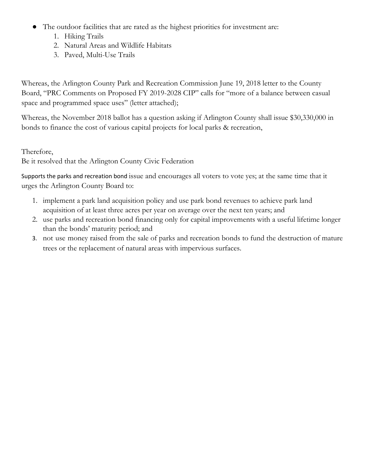- The outdoor facilities that are rated as the highest priorities for investment are:
	- 1. Hiking Trails
	- 2. Natural Areas and Wildlife Habitats
	- 3. Paved, Multi-Use Trails

Whereas, the Arlington County Park and Recreation Commission June 19, 2018 letter to the County Board, "PRC Comments on Proposed FY 2019-2028 CIP" calls for "more of a balance between casual space and programmed space uses" (letter attached);

Whereas, the November 2018 ballot has a question asking if Arlington County shall issue \$30,330,000 in bonds to finance the cost of various capital projects for local parks & recreation,

Therefore,

Be it resolved that the Arlington County Civic Federation

Supports the parks and recreation bond issue and encourages all voters to vote yes; at the same time that it urges the Arlington County Board to:

- 1. implement a park land acquisition policy and use park bond revenues to achieve park land acquisition of at least three acres per year on average over the next ten years; and
- 2. use parks and recreation bond financing only for capital improvements with a useful lifetime longer than the bonds' maturity period; and
- 3. not use money raised from the sale of parks and recreation bonds to fund the destruction of mature trees or the replacement of natural areas with impervious surfaces.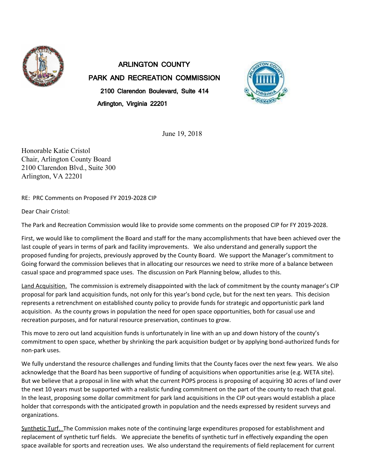

ARLINGTON COUNTY PARK AND RECREATION COMMISSION 2100 Clarendon Boulevard, Suite 414 Arlington, Virginia 22201



June 19, 2018

Honorable Katie Cristol Chair, Arlington County Board 2100 Clarendon Blvd., Suite 300 Arlington, VA 22201

RE: PRC Comments on Proposed FY 2019-2028 CIP

Dear Chair Cristol:

The Park and Recreation Commission would like to provide some comments on the proposed CIP for FY 2019-2028.

First, we would like to compliment the Board and staff for the many accomplishments that have been achieved over the last couple of years in terms of park and facility improvements. We also understand and generally support the proposed funding for projects, previously approved by the County Board. We support the Manager's commitment to Going forward the commission believes that in allocating our resources we need to strike more of a balance between casual space and programmed space uses. The discussion on Park Planning below, alludes to this.

Land Acquisition. The commission is extremely disappointed with the lack of commitment by the county manager's CIP proposal for park land acquisition funds, not only for this year's bond cycle, but for the next ten years. This decision represents a retrenchment on established county policy to provide funds for strategic and opportunistic park land acquisition. As the county grows in population the need for open space opportunities, both for casual use and recreation purposes, and for natural resource preservation, continues to grow.

This move to zero out land acquisition funds is unfortunately in line with an up and down history of the county's commitment to open space, whether by shrinking the park acquisition budget or by applying bond-authorized funds for non-park uses.

We fully understand the resource challenges and funding limits that the County faces over the next few years. We also acknowledge that the Board has been supportive of funding of acquisitions when opportunities arise (e.g. WETA site). But we believe that a proposal in line with what the current POPS process is proposing of acquiring 30 acres of land over the next 10 years must be supported with a realistic funding commitment on the part of the county to reach that goal. In the least, proposing some dollar commitment for park land acquisitions in the CIP out-years would establish a place holder that corresponds with the anticipated growth in population and the needs expressed by resident surveys and organizations.

Synthetic Turf. The Commission makes note of the continuing large expenditures proposed for establishment and replacement of synthetic turf fields. We appreciate the benefits of synthetic turf in effectively expanding the open space available for sports and recreation uses. We also understand the requirements of field replacement for current